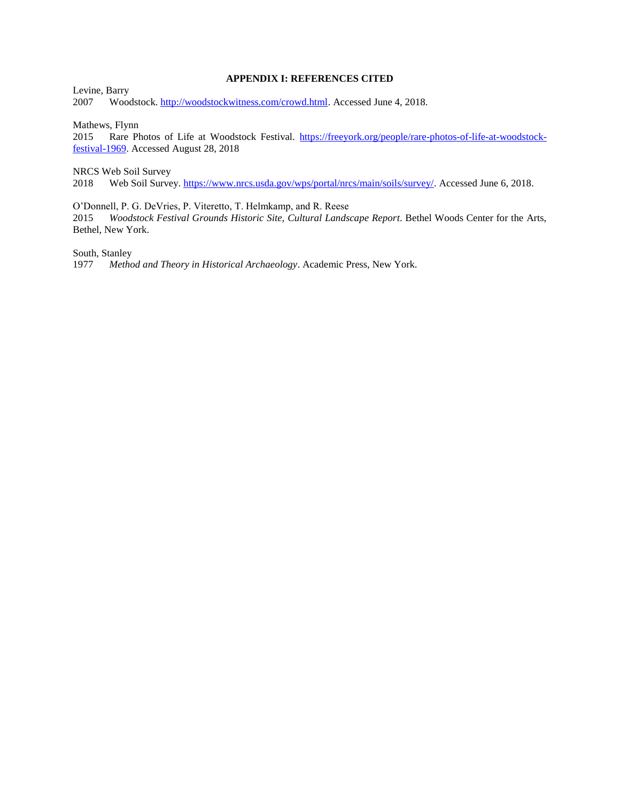## **APPENDIX I: REFERENCES CITED**

Levine, Barry 2007 Woodstock. [http://woodstockwitness.com/crowd.html.](http://woodstockwitness.com/crowd.html) Accessed June 4, 2018.

Mathews, Flynn

2015 Rare Photos of Life at Woodstock Festival. [https://freeyork.org/people/rare-photos-of-life-at-woodstock](https://freeyork.org/people/rare-photos-of-life-at-woodstock-festival-1969)[festival-1969.](https://freeyork.org/people/rare-photos-of-life-at-woodstock-festival-1969) Accessed August 28, 2018

NRCS Web Soil Survey

2018 Web Soil Survey. [https://www.nrcs.usda.gov/wps/portal/nrcs/main/soils/survey/.](https://www.nrcs.usda.gov/wps/portal/nrcs/main/soils/survey/) Accessed June 6, 2018.

O'Donnell, P. G. DeVries, P. Viteretto, T. Helmkamp, and R. Reese

2015 *Woodstock Festival Grounds Historic Site, Cultural Landscape Report*. Bethel Woods Center for the Arts, Bethel, New York.

South, Stanley

1977 *Method and Theory in Historical Archaeology*. Academic Press, New York.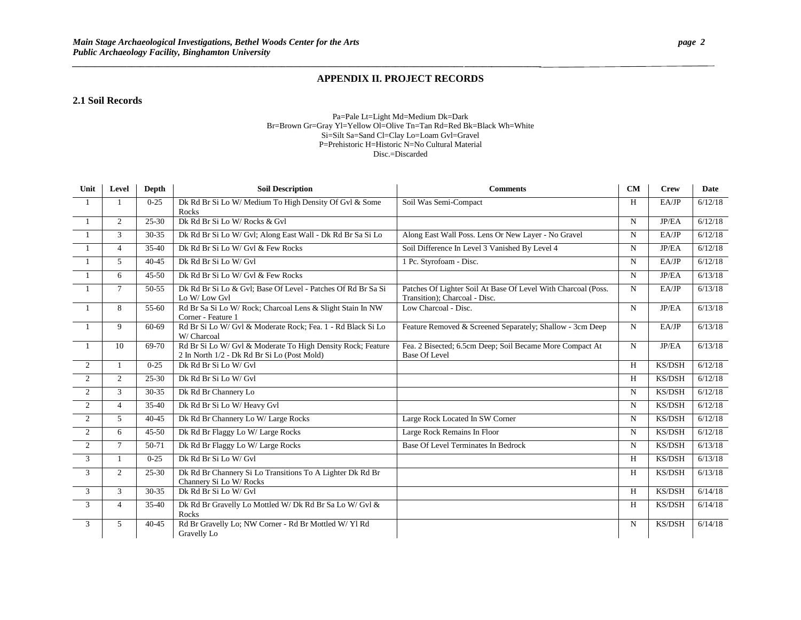*\_\_\_\_\_\_\_\_\_\_\_\_\_\_\_\_\_\_\_\_\_\_\_\_\_\_\_\_\_\_\_\_\_\_\_\_\_\_\_\_\_\_\_\_\_\_\_\_\_\_\_\_\_\_\_\_\_\_\_\_\_\_\_\_\_\_\_\_\_\_\_\_\_\_\_\_\_\_\_\_\_\_\_\_\_\_***\_\_\_\_\_\_***\_\_\_\_\_\_\_\_\_\_\_*

## **APPENDIX II. PROJECT RECORDS**

## **2.1 Soil Records**

#### Pa=Pale Lt=Light Md=Medium Dk=Dark Br=Brown Gr=Gray Yl=Yellow Ol=Olive Tn=Tan Rd=Red Bk=Black Wh=White Si=Silt Sa=Sand Cl=Clay Lo=Loam Gvl=Gravel P=Prehistoric H=Historic N=No Cultural Material Disc.=Discarded

| Unit           | Level          | <b>Depth</b> | <b>Soil Description</b>                                                                                    | <b>Comments</b>                                                                                | CM          | <b>Crew</b>   | <b>Date</b> |
|----------------|----------------|--------------|------------------------------------------------------------------------------------------------------------|------------------------------------------------------------------------------------------------|-------------|---------------|-------------|
| -1             |                | $0 - 25$     | Dk Rd Br Si Lo W/ Medium To High Density Of Gvl & Some<br>Rocks                                            | Soil Was Semi-Compact                                                                          | H           | EA/JP         | 6/12/18     |
| -1             | 2              | $25 - 30$    | Dk Rd Br Si Lo W/ Rocks & Gvl                                                                              |                                                                                                | N           | JP/EA         | 6/12/18     |
|                | 3              | 30-35        | Dk Rd Br Si Lo W/ Gvl; Along East Wall - Dk Rd Br Sa Si Lo                                                 | Along East Wall Poss. Lens Or New Layer - No Gravel                                            | N           | EA/JP         | 6/12/18     |
| - 1            | $\overline{4}$ | 35-40        | Dk Rd Br Si Lo W/ Gvl & Few Rocks                                                                          | Soil Difference In Level 3 Vanished By Level 4                                                 | N           | JP/EA         | 6/12/18     |
| $\overline{1}$ | 5              | $40 - 45$    | Dk Rd Br Si Lo W/ Gvl                                                                                      | 1 Pc. Styrofoam - Disc.                                                                        | N           | EA/JP         | 6/12/18     |
| $\overline{1}$ | 6              | $45 - 50$    | Dk Rd Br Si Lo W/ Gvl & Few Rocks                                                                          |                                                                                                | N           | JP/EA         | 6/13/18     |
| $\overline{1}$ | $\tau$         | 50-55        | Dk Rd Br Si Lo & Gvl; Base Of Level - Patches Of Rd Br Sa Si<br>Lo W/Low Gyl                               | Patches Of Lighter Soil At Base Of Level With Charcoal (Poss.<br>Transition); Charcoal - Disc. | $\mathbf N$ | EA/JP         | 6/13/18     |
| $\overline{1}$ | 8              | 55-60        | Rd Br Sa Si Lo W/ Rock; Charcoal Lens & Slight Stain In NW<br>Corner - Feature 1                           | Low Charcoal - Disc.                                                                           | N           | JP/EA         | 6/13/18     |
| $\overline{1}$ | 9              | 60-69        | Rd Br Si Lo W/ Gvl & Moderate Rock; Fea. 1 - Rd Black Si Lo<br>W/ Charcoal                                 | Feature Removed & Screened Separately; Shallow - 3cm Deep                                      | N           | EA/JP         | 6/13/18     |
| -1             | 10             | 69-70        | Rd Br Si Lo W/ Gvl & Moderate To High Density Rock; Feature<br>2 In North 1/2 - Dk Rd Br Si Lo (Post Mold) | Fea. 2 Bisected; 6.5cm Deep; Soil Became More Compact At<br><b>Base Of Level</b>               | N           | JP/EA         | 6/13/18     |
| 2              | -1             | $0 - 25$     | Dk Rd Br Si Lo W/ Gvl                                                                                      |                                                                                                | H           | KS/DSH        | 6/12/18     |
| $\overline{2}$ | 2              | 25-30        | Dk Rd Br Si Lo W/ Gvl                                                                                      |                                                                                                | H           | KS/DSH        | 6/12/18     |
| 2              | 3              | $30 - 35$    | Dk Rd Br Channery Lo                                                                                       |                                                                                                | N           | <b>KS/DSH</b> | 6/12/18     |
| $\overline{2}$ | $\overline{4}$ | $35 - 40$    | Dk Rd Br Si Lo W/Heavy Gvl                                                                                 |                                                                                                | N           | KS/DSH        | 6/12/18     |
| $\overline{2}$ | 5              | $40 - 45$    | Dk Rd Br Channery Lo W/ Large Rocks                                                                        | Large Rock Located In SW Corner                                                                | N           | KS/DSH        | 6/12/18     |
| 2              | 6              | $45 - 50$    | Dk Rd Br Flaggy Lo W/ Large Rocks                                                                          | Large Rock Remains In Floor                                                                    | N           | <b>KS/DSH</b> | 6/12/18     |
| 2              | $\tau$         | 50-71        | Dk Rd Br Flaggy Lo W/ Large Rocks                                                                          | Base Of Level Terminates In Bedrock                                                            | N           | <b>KS/DSH</b> | 6/13/18     |
| 3              |                | $0 - 25$     | Dk Rd Br Si Lo W/ Gvl                                                                                      |                                                                                                | H           | <b>KS/DSH</b> | 6/13/18     |
| 3              | 2              | $25 - 30$    | Dk Rd Br Channery Si Lo Transitions To A Lighter Dk Rd Br<br>Channery Si Lo W/Rocks                        |                                                                                                | H           | <b>KS/DSH</b> | 6/13/18     |
| 3              | 3              | 30-35        | Dk Rd Br Si Lo W/ Gvl                                                                                      |                                                                                                | H           | <b>KS/DSH</b> | 6/14/18     |
| 3              | $\overline{4}$ | $35-40$      | Dk Rd Br Gravelly Lo Mottled W/ Dk Rd Br Sa Lo W/ Gvl &<br>Rocks                                           |                                                                                                | H           | KS/DSH        | 6/14/18     |
| 3              | 5              | $40 - 45$    | Rd Br Gravelly Lo; NW Corner - Rd Br Mottled W/Yl Rd<br>Gravelly Lo                                        |                                                                                                | N           | <b>KS/DSH</b> | 6/14/18     |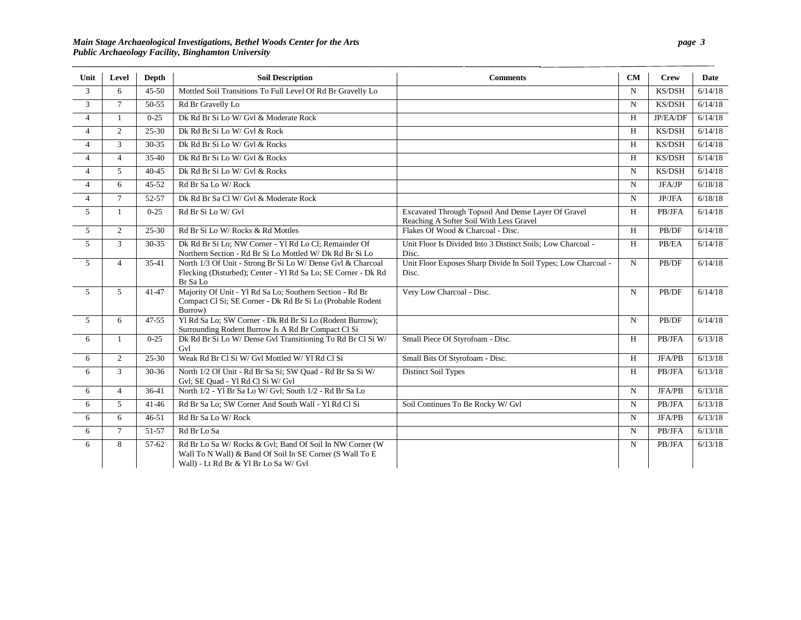*\_\_\_\_\_\_\_\_\_\_\_\_\_\_\_\_\_\_\_\_\_\_\_\_\_\_\_\_\_\_\_\_\_\_\_\_\_\_\_\_\_\_\_\_\_\_\_\_\_\_\_\_\_\_\_\_\_\_\_\_\_\_\_\_\_\_\_\_\_\_\_\_\_\_\_\_\_\_\_\_\_\_\_\_\_\_***\_\_\_\_\_\_***\_\_\_\_\_\_\_\_\_\_\_*

| Unit           | Level          | Depth     | <b>Soil Description</b>                                                                                                                                       | <b>Comments</b>                                                                                | CM             | <b>Crew</b>   | Date    |
|----------------|----------------|-----------|---------------------------------------------------------------------------------------------------------------------------------------------------------------|------------------------------------------------------------------------------------------------|----------------|---------------|---------|
| 3              | 6              | $45 - 50$ | Mottled Soil Transitions To Full Level Of Rd Br Gravelly Lo                                                                                                   |                                                                                                | N              | <b>KS/DSH</b> | 6/14/18 |
| $\overline{3}$ | $\overline{7}$ | 50-55     | Rd Br Gravelly Lo                                                                                                                                             |                                                                                                | $\mathbf N$    | KS/DSH        | 6/14/18 |
| $\overline{4}$ | 1              | $0 - 25$  | Dk Rd Br Si Lo W/ Gvl & Moderate Rock                                                                                                                         |                                                                                                | H              | JP/EA/DF      | 6/14/18 |
| $\overline{4}$ | 2              | $25 - 30$ | Dk Rd Br Si Lo W/ Gvl & Rock                                                                                                                                  |                                                                                                | H              | KS/DSH        | 6/14/18 |
| $\overline{4}$ | 3              | 30-35     | Dk Rd Br Si Lo W/ Gvl & Rocks                                                                                                                                 |                                                                                                | H              | KS/DSH        | 6/14/18 |
| $\overline{4}$ | $\overline{4}$ | $35 - 40$ | Dk Rd Br Si Lo W/ Gvl & Rocks                                                                                                                                 |                                                                                                | H              | KS/DSH        | 6/14/18 |
| $\overline{4}$ | 5              | $40 - 45$ | Dk Rd Br Si Lo W/ Gvl & Rocks                                                                                                                                 |                                                                                                | $\mathbf N$    | KS/DSH        | 6/14/18 |
| $\overline{4}$ | 6              | $45 - 52$ | Rd Br Sa Lo W/Rock                                                                                                                                            |                                                                                                | N              | JFA/JP        | 6/18/18 |
| $\overline{4}$ | $\overline{7}$ | 52-57     | Dk Rd Br Sa Cl W/ Gyl & Moderate Rock                                                                                                                         |                                                                                                | N              | JP/JFA        | 6/18/18 |
| 5              | $\mathbf{1}$   | $0 - 25$  | Rd Br Si Lo W/ Gvl                                                                                                                                            | Excavated Through Topsoil And Dense Layer Of Gravel<br>Reaching A Softer Soil With Less Gravel | H              | PB/JFA        | 6/14/18 |
| 5              | $\mathbf{2}$   | $25 - 30$ | Rd Br Si Lo W/ Rocks & Rd Mottles                                                                                                                             | Flakes Of Wood & Charcoal - Disc.                                                              | H              | PB/DF         | 6/14/18 |
| $\overline{5}$ | 3              | $30-35$   | Dk Rd Br Si Lo; NW Corner - Yl Rd Lo Cl; Remainder Of<br>Northern Section - Rd Br Si Lo Mottled W/ Dk Rd Br Si Lo                                             | Unit Floor Is Divided Into 3 Distinct Soils; Low Charcoal -<br>Disc.                           | $\overline{H}$ | PB/EA         | 6/14/18 |
| 5              | $\overline{4}$ | $35-41$   | North 1/3 Of Unit - Strong Br Si Lo W/ Dense Gvl & Charcoal<br>Flecking (Disturbed); Center - Yl Rd Sa Lo; SE Corner - Dk Rd<br>Br Sa Lo                      | Unit Floor Exposes Sharp Divide In Soil Types; Low Charcoal -<br>Disc.                         | N              | PB/DF         | 6/14/18 |
| 5              | 5              | $41 - 47$ | Majority Of Unit - Yl Rd Sa Lo; Southern Section - Rd Br<br>Compact Cl Si; SE Corner - Dk Rd Br Si Lo (Probable Rodent<br>Burrow)                             | Very Low Charcoal - Disc.                                                                      | N              | PB/DF         | 6/14/18 |
| 5              | 6              | $47 - 55$ | Yl Rd Sa Lo: SW Corner - Dk Rd Br Si Lo (Rodent Burrow):<br>Surrounding Rodent Burrow Is A Rd Br Compact Cl Si                                                |                                                                                                | $\mathbf N$    | PB/DF         | 6/14/18 |
| 6              | 1              | $0 - 25$  | Dk Rd Br Si Lo W/ Dense Gvl Transitioning To Rd Br Cl Si W/<br>Gvl                                                                                            | Small Piece Of Styrofoam - Disc.                                                               | H              | PB/JFA        | 6/13/18 |
| 6              | 2              | 25-30     | Weak Rd Br Cl Si W/ Gvl Mottled W/ Yl Rd Cl Si                                                                                                                | Small Bits Of Styrofoam - Disc.                                                                | H              | JFA/PB        | 6/13/18 |
| 6              | 3              | $30 - 36$ | North 1/2 Of Unit - Rd Br Sa Si; SW Ouad - Rd Br Sa Si W/<br>Gvl; SE Quad - Yl Rd Cl Si W/ Gvl                                                                | <b>Distinct Soil Types</b>                                                                     | H              | PB/JFA        | 6/13/18 |
| 6              | $\overline{4}$ | $36-41$   | North 1/2 - Yl Br Sa Lo W/ Gvl; South 1/2 - Rd Br Sa Lo                                                                                                       |                                                                                                | N              | <b>JFA/PB</b> | 6/13/18 |
| 6              | 5              | $41 - 46$ | Rd Br Sa Lo; SW Corner And South Wall - Yl Rd Cl Si                                                                                                           | Soil Continues To Be Rocky W/ Gvl                                                              | N              | PB/JFA        | 6/13/18 |
| 6              | 6              | $46 - 51$ | Rd Br Sa Lo W/Rock                                                                                                                                            |                                                                                                | N              | <b>JFA/PB</b> | 6/13/18 |
| 6              | $\tau$         | 51-57     | Rd Br Lo Sa                                                                                                                                                   |                                                                                                | N              | PB/JFA        | 6/13/18 |
| 6              | 8              | 57-62     | Rd Br Lo Sa W/ Rocks & Gvl; Band Of Soil In NW Corner (W<br>Wall To N Wall) & Band Of Soil In SE Corner (S Wall To E<br>Wall) - Lt Rd Br & Yl Br Lo Sa W/ Gvl |                                                                                                | N              | PB/JFA        | 6/13/18 |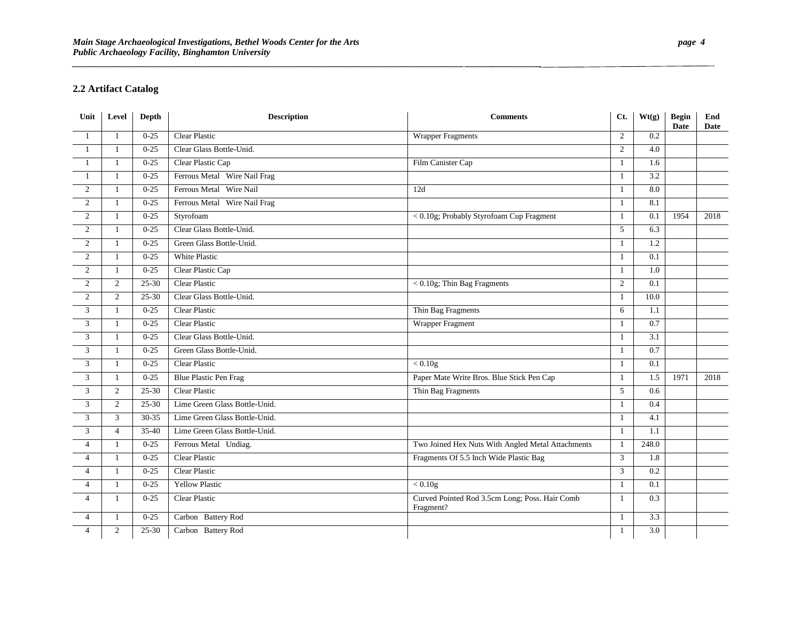*\_\_\_\_\_\_\_\_\_\_\_\_\_\_\_\_\_\_\_\_\_\_\_\_\_\_\_\_\_\_\_\_\_\_\_\_\_\_\_\_\_\_\_\_\_\_\_\_\_\_\_\_\_\_\_\_\_\_\_\_\_\_\_\_\_\_\_\_\_\_\_\_\_\_\_\_\_\_\_\_\_\_\_\_\_\_***\_\_\_\_\_\_***\_\_\_\_\_\_\_\_\_\_\_*

# **2.2 Artifact Catalog**

| Unit           | Level          | Depth     | <b>Description</b>            | <b>Comments</b>                                             | Ct.            | Wt(g)            | <b>Begin</b><br><b>Date</b> | End<br><b>Date</b> |
|----------------|----------------|-----------|-------------------------------|-------------------------------------------------------------|----------------|------------------|-----------------------------|--------------------|
| 1              | $\mathbf{1}$   | $0-25$    | <b>Clear Plastic</b>          | <b>Wrapper Fragments</b>                                    | 2              | 0.2              |                             |                    |
|                | 1              | $0 - 25$  | Clear Glass Bottle-Unid.      |                                                             | 2              | 4.0              |                             |                    |
|                | $\mathbf{1}$   | $0 - 25$  | Clear Plastic Cap             | Film Canister Cap                                           |                | 1.6              |                             |                    |
| -1             | 1              | $0-25$    | Ferrous Metal Wire Nail Frag  |                                                             | -1             | $\overline{3.2}$ |                             |                    |
| 2              | 1              | $0 - 25$  | Ferrous Metal Wire Nail       | 12d                                                         |                | 8.0              |                             |                    |
| 2              | $\mathbf{1}$   | $0 - 25$  | Ferrous Metal Wire Nail Frag  |                                                             |                | 8.1              |                             |                    |
| 2              | $\mathbf{1}$   | $0 - 25$  | Styrofoam                     | < 0.10g; Probably Styrofoam Cup Fragment                    | $\overline{1}$ | 0.1              | 1954                        | 2018               |
| 2              | 1              | $0 - 25$  | Clear Glass Bottle-Unid.      |                                                             | 5              | 6.3              |                             |                    |
| 2              | -1             | $0 - 25$  | Green Glass Bottle-Unid.      |                                                             |                | 1.2              |                             |                    |
| $\overline{2}$ | 1              | $0 - 25$  | White Plastic                 |                                                             |                | 0.1              |                             |                    |
| 2              | 1              | $0 - 25$  | Clear Plastic Cap             |                                                             | -1             | 1.0              |                             |                    |
| 2              | $\overline{2}$ | $25 - 30$ | <b>Clear Plastic</b>          | $< 0.10$ g; Thin Bag Fragments                              | 2              | 0.1              |                             |                    |
| $\overline{2}$ | 2              | 25-30     | Clear Glass Bottle-Unid.      |                                                             |                | 10.0             |                             |                    |
| 3              | 1              | $0 - 25$  | <b>Clear Plastic</b>          | Thin Bag Fragments                                          | 6              | 1.1              |                             |                    |
| 3              | 1              | $0 - 25$  | <b>Clear Plastic</b>          | Wrapper Fragment                                            |                | 0.7              |                             |                    |
| 3              | 1              | $0 - 25$  | Clear Glass Bottle-Unid.      |                                                             |                | 3.1              |                             |                    |
| 3              | $\mathbf{1}$   | $0 - 25$  | Green Glass Bottle-Unid.      |                                                             |                | 0.7              |                             |                    |
| 3              | $\mathbf{1}$   | $0 - 25$  | Clear Plastic                 | < 0.10g                                                     |                | 0.1              |                             |                    |
| 3              | $\mathbf{1}$   | $0 - 25$  | <b>Blue Plastic Pen Frag</b>  | Paper Mate Write Bros. Blue Stick Pen Cap                   |                | 1.5              | 1971                        | 2018               |
| 3              | $\overline{2}$ | $25 - 30$ | <b>Clear Plastic</b>          | Thin Bag Fragments                                          | $\overline{5}$ | 0.6              |                             |                    |
| 3              | $\overline{2}$ | $25 - 30$ | Lime Green Glass Bottle-Unid. |                                                             |                | 0.4              |                             |                    |
| 3              | 3              | 30-35     | Lime Green Glass Bottle-Unid. |                                                             |                | 4.1              |                             |                    |
| 3              | $\overline{4}$ | 35-40     | Lime Green Glass Bottle-Unid. |                                                             | -1             | 1.1              |                             |                    |
| $\overline{4}$ | $\mathbf{1}$   | $0 - 25$  | Ferrous Metal Undiag.         | Two Joined Hex Nuts With Angled Metal Attachments           |                | 248.0            |                             |                    |
| $\overline{4}$ | 1              | $0 - 25$  | <b>Clear Plastic</b>          | Fragments Of 5.5 Inch Wide Plastic Bag                      | 3              | 1.8              |                             |                    |
| $\overline{4}$ | 1              | $0 - 25$  | Clear Plastic                 |                                                             | 3              | 0.2              |                             |                    |
| $\overline{4}$ | $\mathbf{1}$   | $0 - 25$  | <b>Yellow Plastic</b>         | $< 0.10$ g                                                  | -1             | 0.1              |                             |                    |
| $\overline{4}$ | $\mathbf{1}$   | $0 - 25$  | <b>Clear Plastic</b>          | Curved Pointed Rod 3.5cm Long; Poss. Hair Comb<br>Fragment? | $\overline{1}$ | 0.3              |                             |                    |
| 4              | 1              | $0 - 25$  | Carbon Battery Rod            |                                                             | -1             | 3.3              |                             |                    |
| $\overline{4}$ | 2              | 25-30     | Carbon Battery Rod            |                                                             |                | $\overline{3.0}$ |                             |                    |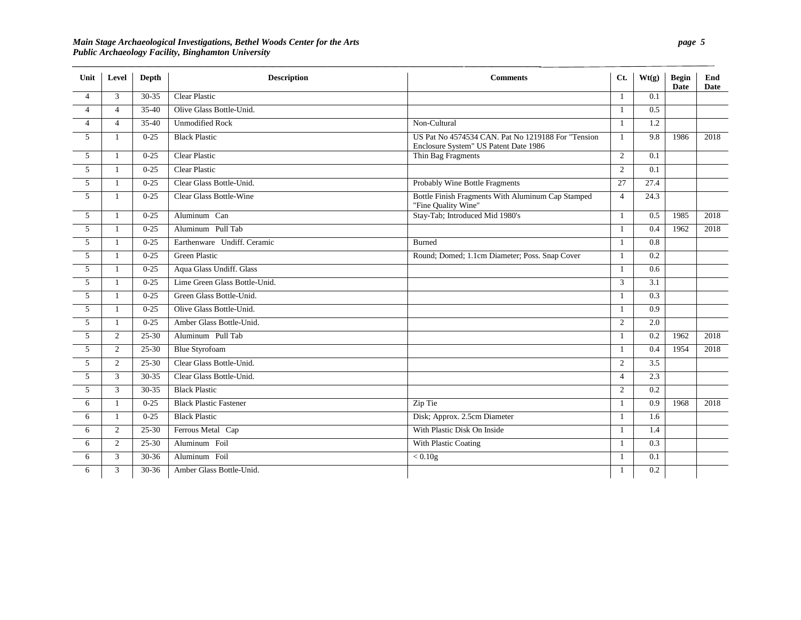### *Main Stage Archaeological Investigations, Bethel Woods Center for the Arts page 5 Public Archaeology Facility, Binghamton University*

*\_\_\_\_\_\_\_\_\_\_\_\_\_\_\_\_\_\_\_\_\_\_\_\_\_\_\_\_\_\_\_\_\_\_\_\_\_\_\_\_\_\_\_\_\_\_\_\_\_\_\_\_\_\_\_\_\_\_\_\_\_\_\_\_\_\_\_\_\_\_\_\_\_\_\_\_\_\_\_\_\_\_\_\_\_\_***\_\_\_\_\_\_***\_\_\_\_\_\_\_\_\_\_\_*

| Unit           | Level          | Depth     | <b>Description</b>            | <b>Comments</b>                                                                             | Ct.            | Wt(g)            | <b>Begin</b><br>Date | End<br>Date |
|----------------|----------------|-----------|-------------------------------|---------------------------------------------------------------------------------------------|----------------|------------------|----------------------|-------------|
| $\overline{4}$ | 3              | $30-35$   | <b>Clear Plastic</b>          |                                                                                             | $\mathbf{1}$   | $\overline{0.1}$ |                      |             |
| $\overline{4}$ | $\overline{4}$ | $35 - 40$ | Olive Glass Bottle-Unid.      |                                                                                             | -1             | 0.5              |                      |             |
| $\overline{4}$ | $\overline{4}$ | $35-40$   | <b>Unmodified Rock</b>        | Non-Cultural                                                                                | $\mathbf{1}$   | 1.2              |                      |             |
| 5              | 1              | $0 - 25$  | <b>Black Plastic</b>          | US Pat No 4574534 CAN. Pat No 1219188 For "Tension<br>Enclosure System" US Patent Date 1986 | 1              | 9.8              | 1986                 | 2018        |
| 5              | 1              | $0 - 25$  | <b>Clear Plastic</b>          | Thin Bag Fragments                                                                          | $\overline{2}$ | 0.1              |                      |             |
| 5              | 1              | $0 - 25$  | <b>Clear Plastic</b>          |                                                                                             | $\overline{2}$ | 0.1              |                      |             |
| 5              | $\mathbf{1}$   | $0 - 25$  | Clear Glass Bottle-Unid.      | Probably Wine Bottle Fragments                                                              | 27             | 27.4             |                      |             |
| $\overline{5}$ | $\mathbf{1}$   | $0 - 25$  | Clear Glass Bottle-Wine       | Bottle Finish Fragments With Aluminum Cap Stamped<br>"Fine Quality Wine"                    | $\overline{4}$ | 24.3             |                      |             |
| 5              | 1              | $0 - 25$  | Aluminum Can                  | Stay-Tab; Introduced Mid 1980's                                                             | $\mathbf{1}$   | 0.5              | 1985                 | 2018        |
| 5              | -1             | $0 - 25$  | Aluminum Pull Tab             |                                                                                             | $\mathbf{1}$   | 0.4              | 1962                 | 2018        |
| 5              | 1              | $0 - 25$  | Earthenware Undiff. Ceramic   | <b>Burned</b>                                                                               | -1             | 0.8              |                      |             |
| 5              | -1             | $0-25$    | <b>Green Plastic</b>          | Round; Domed; 1.1cm Diameter; Poss. Snap Cover                                              |                | $\overline{0.2}$ |                      |             |
| 5              | $\mathbf{1}$   | $0 - 25$  | Aqua Glass Undiff. Glass      |                                                                                             | $\mathbf{1}$   | 0.6              |                      |             |
| $\overline{5}$ | $\mathbf{1}$   | $0 - 25$  | Lime Green Glass Bottle-Unid. |                                                                                             | 3              | 3.1              |                      |             |
| $\mathfrak{F}$ | 1              | $0 - 25$  | Green Glass Bottle-Unid.      |                                                                                             | $\mathbf{1}$   | $\overline{0.3}$ |                      |             |
| 5              | 1              | $0 - 25$  | Olive Glass Bottle-Unid.      |                                                                                             | $\mathbf{1}$   | $\overline{0.9}$ |                      |             |
| 5              | 1              | $0 - 25$  | Amber Glass Bottle-Unid.      |                                                                                             | 2              | 2.0              |                      |             |
| 5              | 2              | $25 - 30$ | Aluminum Pull Tab             |                                                                                             | -1             | 0.2              | 1962                 | 2018        |
| 5              | 2              | 25-30     | <b>Blue Styrofoam</b>         |                                                                                             | -1             | 0.4              | 1954                 | 2018        |
| $\overline{5}$ | 2              | 25-30     | Clear Glass Bottle-Unid.      |                                                                                             | $\overline{2}$ | $\overline{3.5}$ |                      |             |
| 5              | 3              | 30-35     | Clear Glass Bottle-Unid.      |                                                                                             | $\overline{4}$ | 2.3              |                      |             |
| $\mathfrak{F}$ | $\mathfrak{Z}$ | 30-35     | <b>Black Plastic</b>          |                                                                                             | 2              | 0.2              |                      |             |
| 6              | 1              | $0 - 25$  | <b>Black Plastic Fastener</b> | Zip Tie                                                                                     | -1             | 0.9              | 1968                 | 2018        |
| 6              | 1              | $0 - 25$  | <b>Black Plastic</b>          | Disk; Approx. 2.5cm Diameter                                                                | -1             | 1.6              |                      |             |
| 6              | 2              | 25-30     | Ferrous Metal Cap             | With Plastic Disk On Inside                                                                 | $\mathbf{1}$   | 1.4              |                      |             |
| 6              | 2              | 25-30     | Aluminum Foil                 | With Plastic Coating                                                                        | $\mathbf{1}$   | 0.3              |                      |             |
| 6              | 3              | $30-36$   | Aluminum Foil                 | $< 0.10$ g                                                                                  | $\mathbf{1}$   | $\overline{0.1}$ |                      |             |
| 6              | 3              | $30 - 36$ | Amber Glass Bottle-Unid.      |                                                                                             |                | 0.2              |                      |             |